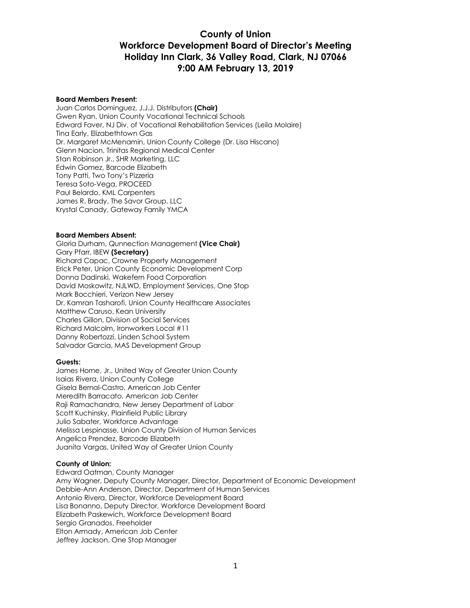#### **Board Members Present:**

Juan Carlos Dominguez, J.J.J. Distributors **(Chair)** Gwen Ryan, Union County Vocational Technical Schools Edward Faver, NJ Div. of Vocational Rehabilitation Services (Leila Molaire) Tina Early, Elizabethtown Gas Dr. Margaret McMenamin, Union County College (Dr. Lisa Hiscano) Glenn Nacion, Trinitas Regional Medical Center Stan Robinson Jr., SHR Marketing, LLC Edwin Gomez, Barcode Elizabeth Tony Patti, Two Tony's Pizzeria Teresa Soto-Vega, PROCEED Paul Belardo, KML Carpenters James R. Brady, The Savor Group, LLC Krystal Canady, Gateway Family YMCA

#### **Board Members Absent:**

Gloria Durham, Qunnection Management **(Vice Chair)** Gary Pfarr, IBEW **(Secretary)** Richard Capac, Crowne Property Management Erick Peter, Union County Economic Development Corp Donna Dadinski, Wakefern Food Corporation David Moskowitz, NJLWD, Employment Services, One Stop Mark Bocchieri, Verizon New Jersey Dr. Kamran Tasharofi, Union County Healthcare Associates Matthew Caruso, Kean University Charles Gillon, Division of Social Services Richard Malcolm, Ironworkers Local #11 Danny Robertozzi, Linden School System Salvador Garcia, MAS Development Group

#### **Guests:**

James Horne, Jr., United Way of Greater Union County Isaias Rivera, Union County College Gisela Bernal-Castro, American Job Center Meredith Barracato, American Job Center Raji Ramachandra, New Jersey Department of Labor Scott Kuchinsky, Plainfield Public Library Julio Sabater, Workforce Advantage Melissa Lespinasse, Union County Division of Human Services Angelica Prendez, Barcode Elizabeth Juanita Vargas, United Way of Greater Union County

#### **County of Union:**

Edward Oatman, County Manager Amy Wagner, Deputy County Manager, Director, Department of Economic Development Debbie-Ann Anderson, Director, Department of Human Services Antonio Rivera, Director, Workforce Development Board Lisa Bonanno, Deputy Director, Workforce Development Board Elizabeth Paskewich, Workforce Development Board Sergio Granados, Freeholder Elton Armady, American Job Center Jeffrey Jackson, One Stop Manager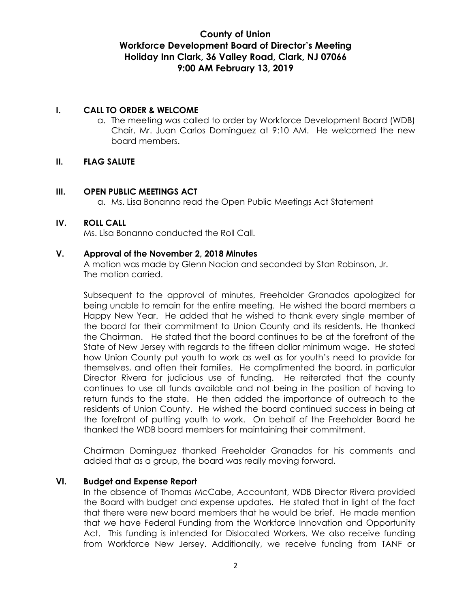#### **I. CALL TO ORDER & WELCOME**

a. The meeting was called to order by Workforce Development Board (WDB) Chair, Mr. Juan Carlos Dominguez at 9:10 AM. He welcomed the new board members.

#### **II. FLAG SALUTE**

#### **III. OPEN PUBLIC MEETINGS ACT**

a. Ms. Lisa Bonanno read the Open Public Meetings Act Statement

#### **IV. ROLL CALL**

Ms. Lisa Bonanno conducted the Roll Call.

#### **V. Approval of the November 2, 2018 Minutes**

A motion was made by Glenn Nacion and seconded by Stan Robinson, Jr. The motion carried.

Subsequent to the approval of minutes, Freeholder Granados apologized for being unable to remain for the entire meeting. He wished the board members a Happy New Year. He added that he wished to thank every single member of the board for their commitment to Union County and its residents. He thanked the Chairman. He stated that the board continues to be at the forefront of the State of New Jersey with regards to the fifteen dollar minimum wage. He stated how Union County put youth to work as well as for youth's need to provide for themselves, and often their families. He complimented the board, in particular Director Rivera for judicious use of funding. He reiterated that the county continues to use all funds available and not being in the position of having to return funds to the state. He then added the importance of outreach to the residents of Union County. He wished the board continued success in being at the forefront of putting youth to work. On behalf of the Freeholder Board he thanked the WDB board members for maintaining their commitment.

Chairman Dominguez thanked Freeholder Granados for his comments and added that as a group, the board was really moving forward.

#### **VI. Budget and Expense Report**

In the absence of Thomas McCabe, Accountant, WDB Director Rivera provided the Board with budget and expense updates. He stated that in light of the fact that there were new board members that he would be brief. He made mention that we have Federal Funding from the Workforce Innovation and Opportunity Act. This funding is intended for Dislocated Workers. We also receive funding from Workforce New Jersey. Additionally, we receive funding from TANF or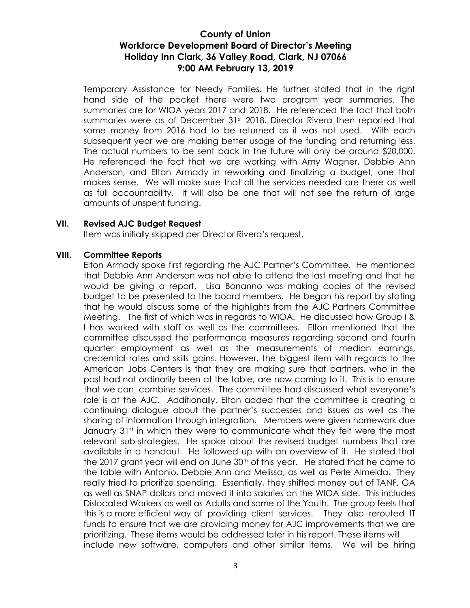Temporary Assistance for Needy Families. He further stated that in the right hand side of the packet there were two program year summaries. The summaries are for WIOA years 2017 and 2018. He referenced the fact that both summaries were as of December 31<sup>st</sup> 2018. Director Rivera then reported that some money from 2016 had to be returned as it was not used. With each subsequent year we are making better usage of the funding and returning less. The actual numbers to be sent back in the future will only be around \$20,000. He referenced the fact that we are working with Amy Wagner, Debbie Ann Anderson, and Elton Armady in reworking and finalizing a budget, one that makes sense. We will make sure that all the services needed are there as well as full accountability. It will also be one that will not see the return of large amounts of unspent funding.

#### **VII. Revised AJC Budget Request**

Item was initially skipped per Director Rivera's request.

#### **VIII. Committee Reports**

Elton Armady spoke first regarding the AJC Partner's Committee. He mentioned that Debbie Ann Anderson was not able to attend the last meeting and that he would be giving a report. Lisa Bonanno was making copies of the revised budget to be presented to the board members. He began his report by stating that he would discuss some of the highlights from the AJC Partners Committee Meeting. The first of which was in regards to WIOA. He discussed how Group I & I has worked with staff as well as the committees. Elton mentioned that the committee discussed the performance measures regarding second and fourth quarter employment as well as the measurements of median earnings, credential rates and skills gains. However, the biggest item with regards to the American Jobs Centers is that they are making sure that partners, who in the past had not ordinarily been at the table, are now coming to it. This is to ensure that we can combine services. The committee had discussed what everyone's role is at the AJC. Additionally, Elton added that the committee is creating a continuing dialogue about the partner's successes and issues as well as the sharing of information through integration. Members were given homework due January 31<sup>st</sup> in which they were to communicate what they felt were the most relevant sub-strategies. He spoke about the revised budget numbers that are available in a handout. He followed up with an overview of it. He stated that the 2017 grant year will end on June 30<sup>th</sup> of this year. He stated that he came to the table with Antonio, Debbie Ann and Melissa, as well as Perle Almeida. They really tried to prioritize spending. Essentially, they shifted money out of TANF, GA as well as SNAP dollars and moved it into salaries on the WIOA side. This includes Dislocated Workers as well as Adults and some of the Youth. The group feels that this is a more efficient way of providing client services. They also rerouted IT funds to ensure that we are providing money for AJC improvements that we are prioritizing. These items would be addressed later in his report. These items will include new software, computers and other similar items. We will be hiring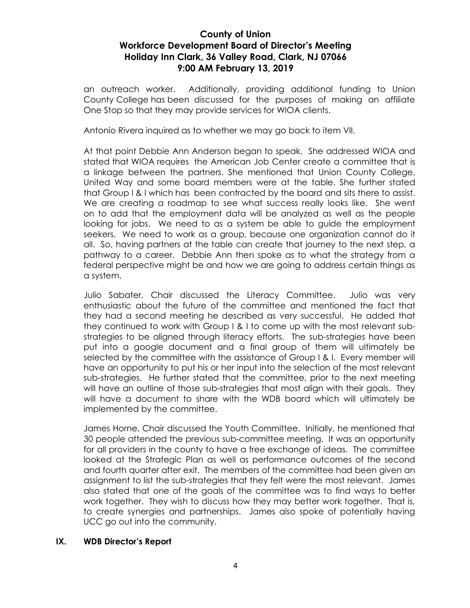an outreach worker. Additionally, providing additional funding to Union County College has been discussed for the purposes of making an affiliate One Stop so that they may provide services for WIOA clients.

Antonio Rivera inquired as to whether we may go back to item VII.

At that point Debbie Ann Anderson began to speak. She addressed WIOA and stated that WIOA requires the American Job Center create a committee that is a linkage between the partners. She mentioned that Union County College, United Way and some board members were at the table. She further stated that Group I & I which has been contracted by the board and sits there to assist. We are creating a roadmap to see what success really looks like. She went on to add that the employment data will be analyzed as well as the people looking for jobs. We need to as a system be able to guide the employment seekers. We need to work as a group, because one organization cannot do it all. So, having partners at the table can create that journey to the next step, a pathway to a career. Debbie Ann then spoke as to what the strategy from a federal perspective might be and how we are going to address certain things as a system.

Julio Sabater, Chair discussed the Literacy Committee. Julio was very enthusiastic about the future of the committee and mentioned the fact that they had a second meeting he described as very successful. He added that they continued to work with Group I & I to come up with the most relevant substrategies to be aligned through literacy efforts. The sub-strategies have been put into a google document and a final group of them will ultimately be selected by the committee with the assistance of Group I & I. Every member will have an opportunity to put his or her input into the selection of the most relevant sub-strategies. He further stated that the committee, prior to the next meeting will have an outline of those sub-strategies that most align with their goals. They will have a document to share with the WDB board which will ultimately be implemented by the committee.

James Horne, Chair discussed the Youth Committee. Initially, he mentioned that 30 people attended the previous sub-committee meeting. It was an opportunity for all providers in the county to have a free exchange of ideas. The committee looked at the Strategic Plan as well as performance outcomes of the second and fourth quarter after exit. The members of the committee had been given an assignment to list the sub-strategies that they felt were the most relevant. James also stated that one of the goals of the committee was to find ways to better work together. They wish to discuss how they may better work together. That is, to create synergies and partnerships. James also spoke of potentially having UCC go out into the community.

#### **IX. WDB Director's Report**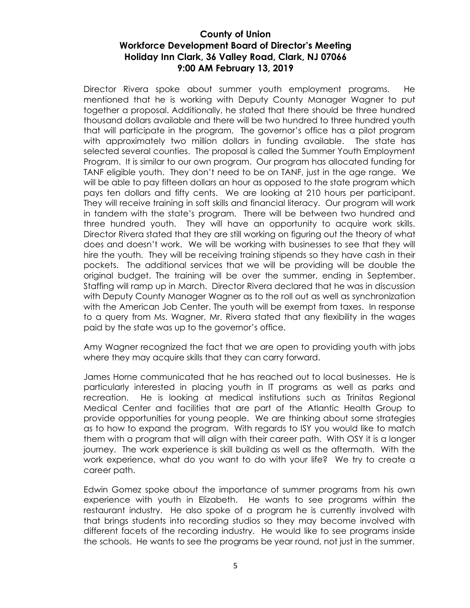Director Rivera spoke about summer youth employment programs. He mentioned that he is working with Deputy County Manager Wagner to put together a proposal. Additionally, he stated that there should be three hundred thousand dollars available and there will be two hundred to three hundred youth that will participate in the program. The governor's office has a pilot program with approximately two million dollars in funding available. The state has selected several counties. The proposal is called the Summer Youth Employment Program. It is similar to our own program. Our program has allocated funding for TANF eligible youth. They don't need to be on TANF, just in the age range. We will be able to pay fifteen dollars an hour as opposed to the state program which pays ten dollars and fifty cents. We are looking at 210 hours per participant. They will receive training in soft skills and financial literacy. Our program will work in tandem with the state's program. There will be between two hundred and three hundred youth. They will have an opportunity to acquire work skills. Director Rivera stated that they are still working on figuring out the theory of what does and doesn't work. We will be working with businesses to see that they will hire the youth. They will be receiving training stipends so they have cash in their pockets. The additional services that we will be providing will be double the original budget. The training will be over the summer, ending in September. Staffing will ramp up in March. Director Rivera declared that he was in discussion with Deputy County Manager Wagner as to the roll out as well as synchronization with the American Job Center. The youth will be exempt from taxes. In response to a query from Ms. Wagner, Mr. Rivera stated that any flexibility in the wages paid by the state was up to the governor's office.

Amy Wagner recognized the fact that we are open to providing youth with jobs where they may acquire skills that they can carry forward.

James Horne communicated that he has reached out to local businesses. He is particularly interested in placing youth in IT programs as well as parks and recreation. He is looking at medical institutions such as Trinitas Regional Medical Center and facilities that are part of the Atlantic Health Group to provide opportunities for young people. We are thinking about some strategies as to how to expand the program. With regards to ISY you would like to match them with a program that will align with their career path. With OSY it is a longer journey. The work experience is skill building as well as the aftermath. With the work experience, what do you want to do with your life? We try to create a career path.

Edwin Gomez spoke about the importance of summer programs from his own experience with youth in Elizabeth. He wants to see programs within the restaurant industry. He also spoke of a program he is currently involved with that brings students into recording studios so they may become involved with different facets of the recording industry. He would like to see programs inside the schools. He wants to see the programs be year round, not just in the summer.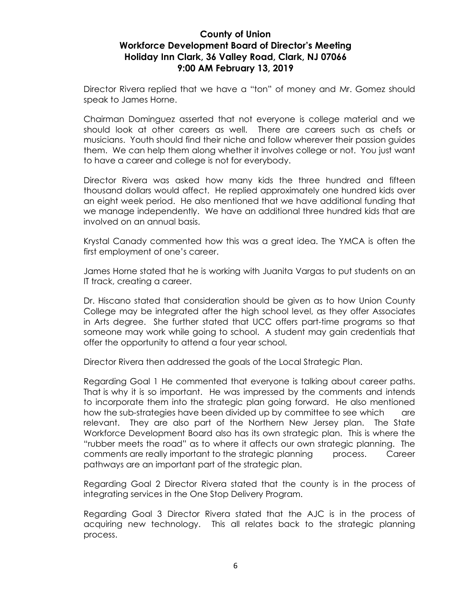Director Rivera replied that we have a "ton" of money and Mr. Gomez should speak to James Horne.

Chairman Dominguez asserted that not everyone is college material and we should look at other careers as well. There are careers such as chefs or musicians. Youth should find their niche and follow wherever their passion guides them. We can help them along whether it involves college or not. You just want to have a career and college is not for everybody.

Director Rivera was asked how many kids the three hundred and fifteen thousand dollars would affect. He replied approximately one hundred kids over an eight week period. He also mentioned that we have additional funding that we manage independently. We have an additional three hundred kids that are involved on an annual basis.

Krystal Canady commented how this was a great idea. The YMCA is often the first employment of one's career.

James Horne stated that he is working with Juanita Vargas to put students on an IT track, creating a career.

Dr. Hiscano stated that consideration should be given as to how Union County College may be integrated after the high school level, as they offer Associates in Arts degree. She further stated that UCC offers part-time programs so that someone may work while going to school. A student may gain credentials that offer the opportunity to attend a four year school.

Director Rivera then addressed the goals of the Local Strategic Plan.

Regarding Goal 1 He commented that everyone is talking about career paths. That is why it is so important. He was impressed by the comments and intends to incorporate them into the strategic plan going forward. He also mentioned how the sub-strategies have been divided up by committee to see which are relevant. They are also part of the Northern New Jersey plan. The State Workforce Development Board also has its own strategic plan. This is where the "rubber meets the road" as to where it affects our own strategic planning. The comments are really important to the strategic planning process. Career pathways are an important part of the strategic plan.

Regarding Goal 2 Director Rivera stated that the county is in the process of integrating services in the One Stop Delivery Program.

Regarding Goal 3 Director Rivera stated that the AJC is in the process of acquiring new technology. This all relates back to the strategic planning process.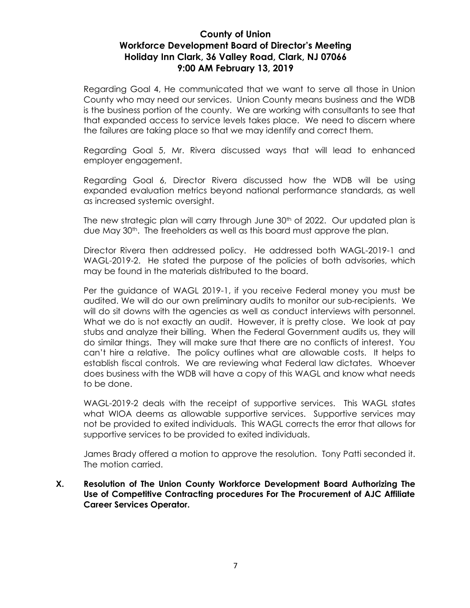Regarding Goal 4, He communicated that we want to serve all those in Union County who may need our services. Union County means business and the WDB is the business portion of the county. We are working with consultants to see that that expanded access to service levels takes place. We need to discern where the failures are taking place so that we may identify and correct them.

Regarding Goal 5, Mr. Rivera discussed ways that will lead to enhanced employer engagement.

Regarding Goal 6, Director Rivera discussed how the WDB will be using expanded evaluation metrics beyond national performance standards, as well as increased systemic oversight.

The new strategic plan will carry through June 30<sup>th</sup> of 2022. Our updated plan is due May 30th. The freeholders as well as this board must approve the plan.

Director Rivera then addressed policy. He addressed both WAGL-2019-1 and WAGL-2019-2. He stated the purpose of the policies of both advisories, which may be found in the materials distributed to the board.

Per the guidance of WAGL 2019-1, if you receive Federal money you must be audited. We will do our own preliminary audits to monitor our sub-recipients. We will do sit downs with the agencies as well as conduct interviews with personnel. What we do is not exactly an audit. However, it is pretty close. We look at pay stubs and analyze their billing. When the Federal Government audits us, they will do similar things. They will make sure that there are no conflicts of interest. You can't hire a relative. The policy outlines what are allowable costs. It helps to establish fiscal controls. We are reviewing what Federal law dictates. Whoever does business with the WDB will have a copy of this WAGL and know what needs to be done.

WAGL-2019-2 deals with the receipt of supportive services. This WAGL states what WIOA deems as allowable supportive services. Supportive services may not be provided to exited individuals. This WAGL corrects the error that allows for supportive services to be provided to exited individuals.

James Brady offered a motion to approve the resolution. Tony Patti seconded it. The motion carried.

#### **X. Resolution of The Union County Workforce Development Board Authorizing The Use of Competitive Contracting procedures For The Procurement of AJC Affiliate Career Services Operator.**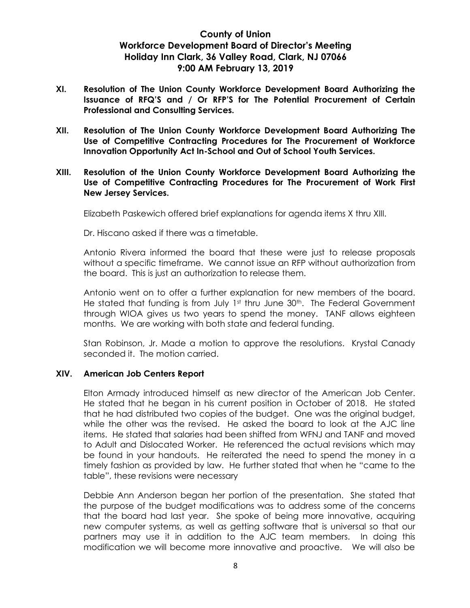- **XI. Resolution of The Union County Workforce Development Board Authorizing the Issuance of RFQ'S and / Or RFP'S for The Potential Procurement of Certain Professional and Consulting Services.**
- **XII. Resolution of The Union County Workforce Development Board Authorizing The Use of Competitive Contracting Procedures for The Procurement of Workforce Innovation Opportunity Act In-School and Out of School Youth Services.**
- **XIII. Resolution of the Union County Workforce Development Board Authorizing the Use of Competitive Contracting Procedures for The Procurement of Work First New Jersey Services.**

Elizabeth Paskewich offered brief explanations for agenda items X thru XIII.

Dr. Hiscano asked if there was a timetable.

Antonio Rivera informed the board that these were just to release proposals without a specific timeframe. We cannot issue an RFP without authorization from the board. This is just an authorization to release them.

Antonio went on to offer a further explanation for new members of the board. He stated that funding is from July 1<sup>st</sup> thru June 30<sup>th</sup>. The Federal Government through WIOA gives us two years to spend the money. TANF allows eighteen months. We are working with both state and federal funding.

Stan Robinson, Jr. Made a motion to approve the resolutions. Krystal Canady seconded it. The motion carried.

#### **XIV. American Job Centers Report**

Elton Armady introduced himself as new director of the American Job Center. He stated that he began in his current position in October of 2018. He stated that he had distributed two copies of the budget. One was the original budget, while the other was the revised. He asked the board to look at the AJC line items. He stated that salaries had been shifted from WFNJ and TANF and moved to Adult and Dislocated Worker. He referenced the actual revisions which may be found in your handouts. He reiterated the need to spend the money in a timely fashion as provided by law. He further stated that when he "came to the table", these revisions were necessary

Debbie Ann Anderson began her portion of the presentation. She stated that the purpose of the budget modifications was to address some of the concerns that the board had last year. She spoke of being more innovative, acquiring new computer systems, as well as getting software that is universal so that our partners may use it in addition to the AJC team members. In doing this modification we will become more innovative and proactive. We will also be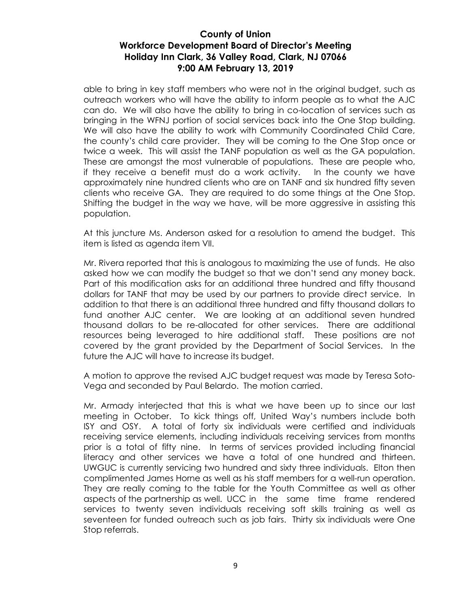able to bring in key staff members who were not in the original budget, such as outreach workers who will have the ability to inform people as to what the AJC can do. We will also have the ability to bring in co-location of services such as bringing in the WFNJ portion of social services back into the One Stop building. We will also have the ability to work with Community Coordinated Child Care, the county's child care provider. They will be coming to the One Stop once or twice a week. This will assist the TANF population as well as the GA population. These are amongst the most vulnerable of populations. These are people who, if they receive a benefit must do a work activity. In the county we have approximately nine hundred clients who are on TANF and six hundred fifty seven clients who receive GA. They are required to do some things at the One Stop. Shifting the budget in the way we have, will be more aggressive in assisting this population.

At this juncture Ms. Anderson asked for a resolution to amend the budget. This item is listed as agenda item VII.

Mr. Rivera reported that this is analogous to maximizing the use of funds. He also asked how we can modify the budget so that we don't send any money back. Part of this modification asks for an additional three hundred and fifty thousand dollars for TANF that may be used by our partners to provide direct service. In addition to that there is an additional three hundred and fifty thousand dollars to fund another AJC center. We are looking at an additional seven hundred thousand dollars to be re-allocated for other services. There are additional resources being leveraged to hire additional staff. These positions are not covered by the grant provided by the Department of Social Services. In the future the AJC will have to increase its budget.

A motion to approve the revised AJC budget request was made by Teresa Soto-Vega and seconded by Paul Belardo. The motion carried.

Mr. Armady interjected that this is what we have been up to since our last meeting in October. To kick things off, United Way's numbers include both ISY and OSY. A total of forty six individuals were certified and individuals receiving service elements, including individuals receiving services from months prior is a total of fifty nine. In terms of services provided including financial literacy and other services we have a total of one hundred and thirteen. UWGUC is currently servicing two hundred and sixty three individuals. Elton then complimented James Horne as well as his staff members for a well-run operation. They are really coming to the table for the Youth Committee as well as other aspects of the partnership as well. UCC in the same time frame rendered services to twenty seven individuals receiving soft skills training as well as seventeen for funded outreach such as job fairs. Thirty six individuals were One Stop referrals.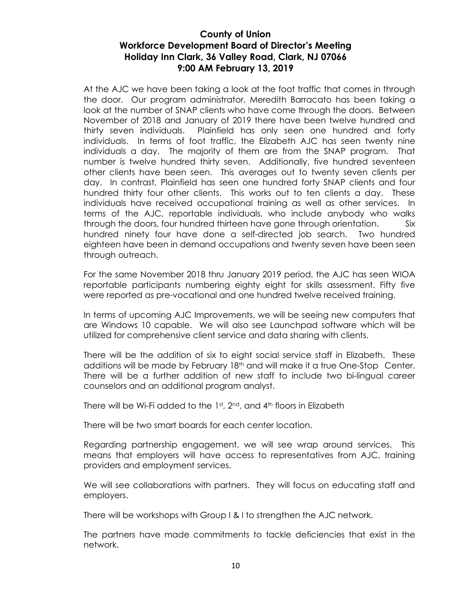At the AJC we have been taking a look at the foot traffic that comes in through the door. Our program administrator, Meredith Barracato has been taking a look at the number of SNAP clients who have come through the doors. Between November of 2018 and January of 2019 there have been twelve hundred and thirty seven individuals. Plainfield has only seen one hundred and forty individuals. In terms of foot traffic, the Elizabeth AJC has seen twenty nine individuals a day. The majority of them are from the SNAP program. That number is twelve hundred thirty seven. Additionally, five hundred seventeen other clients have been seen. This averages out to twenty seven clients per day. In contrast, Plainfield has seen one hundred forty SNAP clients and four hundred thirty four other clients. This works out to ten clients a day. These individuals have received occupational training as well as other services. In terms of the AJC, reportable individuals, who include anybody who walks through the doors, four hundred thirteen have gone through orientation. Six hundred ninety four have done a self-directed job search. Two hundred eighteen have been in demand occupations and twenty seven have been seen through outreach.

For the same November 2018 thru January 2019 period, the AJC has seen WIOA reportable participants numbering eighty eight for skills assessment. Fifty five were reported as pre-vocational and one hundred twelve received training.

In terms of upcoming AJC Improvements, we will be seeing new computers that are Windows 10 capable. We will also see Launchpad software which will be utilized for comprehensive client service and data sharing with clients.

There will be the addition of six to eight social service staff in Elizabeth. These additions will be made by February 18<sup>th</sup> and will make it a true One-Stop Center. There will be a further addition of new staff to include two bi-lingual career counselors and an additional program analyst.

There will be Wi-Fi added to the 1st, 2<sup>nd</sup>, and 4<sup>th</sup> floors in Elizabeth

There will be two smart boards for each center location.

Regarding partnership engagement, we will see wrap around services. This means that employers will have access to representatives from AJC, training providers and employment services.

We will see collaborations with partners. They will focus on educating staff and employers.

There will be workshops with Group I & I to strengthen the AJC network.

The partners have made commitments to tackle deficiencies that exist in the network.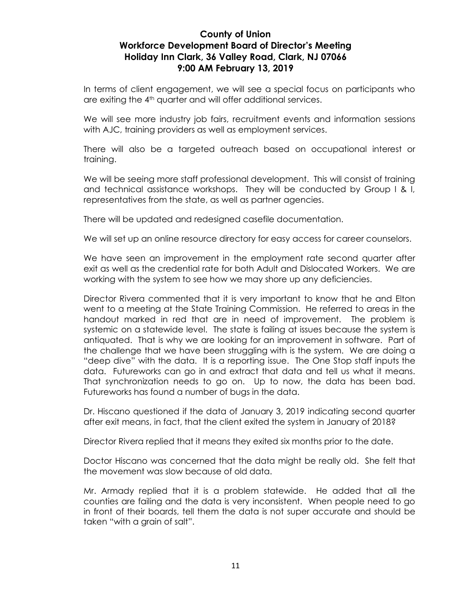In terms of client engagement, we will see a special focus on participants who are exiting the 4<sup>th</sup> quarter and will offer additional services.

We will see more industry job fairs, recruitment events and information sessions with AJC, training providers as well as employment services.

There will also be a targeted outreach based on occupational interest or training.

We will be seeing more staff professional development. This will consist of training and technical assistance workshops. They will be conducted by Group I & I, representatives from the state, as well as partner agencies.

There will be updated and redesigned casefile documentation.

We will set up an online resource directory for easy access for career counselors.

We have seen an improvement in the employment rate second quarter after exit as well as the credential rate for both Adult and Dislocated Workers. We are working with the system to see how we may shore up any deficiencies.

Director Rivera commented that it is very important to know that he and Elton went to a meeting at the State Training Commission. He referred to areas in the handout marked in red that are in need of improvement. The problem is systemic on a statewide level. The state is failing at issues because the system is antiquated. That is why we are looking for an improvement in software. Part of the challenge that we have been struggling with is the system. We are doing a "deep dive" with the data. It is a reporting issue. The One Stop staff inputs the data. Futureworks can go in and extract that data and tell us what it means. That synchronization needs to go on. Up to now, the data has been bad. Futureworks has found a number of bugs in the data.

Dr. Hiscano questioned if the data of January 3, 2019 indicating second quarter after exit means, in fact, that the client exited the system in January of 2018?

Director Rivera replied that it means they exited six months prior to the date.

Doctor Hiscano was concerned that the data might be really old. She felt that the movement was slow because of old data.

Mr. Armady replied that it is a problem statewide. He added that all the counties are failing and the data is very inconsistent. When people need to go in front of their boards, tell them the data is not super accurate and should be taken "with a grain of salt".